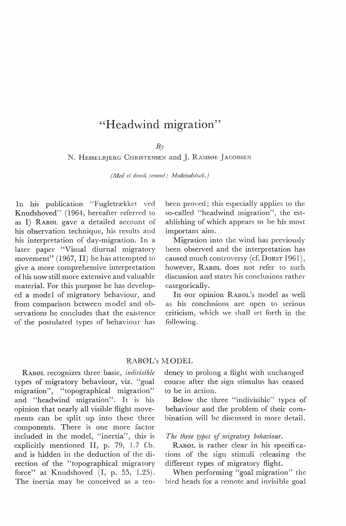# "Headwind migration"

## $B_{\mathcal{V}}$

N. HESSELBJERG CHRISTENSEN and J. RAMSØE JACOBSEN

*(Med et dansk resumé: Modvindstræk.)* 

In his publication "Fugletrækket ved Knudshoved'' (1964, hereafter referred to as I) RABØL gave a detailed account of his observation technique, his results and his interpretation of day-migration. In a later paper "Visual diurnal migratory movement" (1967, II) he has attempted to give a more comprehensive interpretation ofhis now still more extensive and valuable material. For this purpose he has developed a model of migratory behaviour, and from comparison between model and observations he concludes that the existence of the postulated types of behaviour has

been proved; this especially applies to the so-called "headwind migration", the establishing of which appears to be his most important aim.

Migration into the wind has previously been observed and the interpretation has caused much controversy (cf. DORST 1961), however, RABØL does not refer to such discussion and states his conclusions rather categorically.

In our opinion RABØL's model as well as his conclusions are open to serious criticism, which we shall set forth in the following.

#### RABØL's MODEL

RABØL recognizes three basic, *indivisible*  types of migratory behaviour, viz. "goal migration", "topographical migration" and "headwind migration". It is his opinion that nearly all visible flight movements can be split up into these three components. There is one more factor included in the model, "inertia", this is explicitly mentioned II, p. 79, 1.7 f.b. and is hidden in the deduction of the direction of the "topographical migra tory force" at Knudshoved  $(I, p. 55, 1.25)$ . The inertia may be conceived as a tendency to prolong a flight with unchanged course after the sign stimulus has ceased to be in action.

Below the three "indivisible" types of behaviour and the problem of their combination will be discussed in more detail.

*The three types of migratory behaviour.* 

RABØL is rather clear in his specifi cations of the sign stimuli releasing the different types of migratory flight.

When performing "goal migration" the bird heads for a remote and invisible goal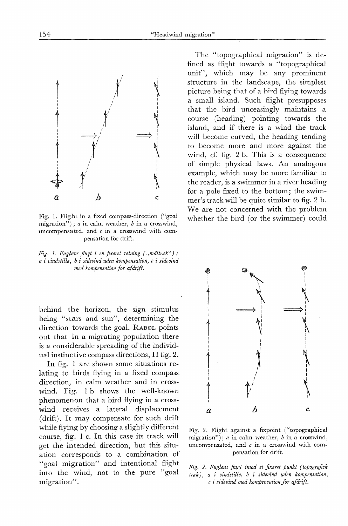<sup>I</sup>*y* <sup>I</sup>  $\begin{pmatrix} 1 & 1 \\ 1 & 1 \end{pmatrix}$ i *y* <sup>I</sup>  $\mathcal{I}$  $\begin{array}{ccc} \updownarrow & & \updownarrow \\ \updownarrow & & \downarrow \\ a & b & c \end{array}$  $\uparrow$   $\uparrow$ *a b* c

 $\uparrow$   $\uparrow$   $\uparrow$ 

Fig. 1. Flight in a fixed compass-direction ("goal migration"); *a* in calm weather, *b* in a crosswind, uncompensated, and *c* in a crosswind with compensation for drift.

*Fig. 1. Fuglens flugt i en fixeret retning ("måltræk"); a* i *vindstille, b i sidevind uden kompensation, c i sidevind med kompensation for af drift.* 

behind the horizon, the sign stimulus being "stars and sun", determining the direction towards the goal. RABØL points out that in a migrating population there is a considerable spreading of the individual instinctive compass directions, II fig. 2.

In fig. 1 are shown some situations relating to hirds flying in a fixed compass direction, in calm weather and in crosswind. Fig. 1 b shows the well-known phenomenon that a bird flying in a crosswind receives a lateral displacement (drift). It may compensate for such drift while flying by choosing a slightly different course, fig. I c. In this case its track will get the intended direction, but this situation corresponds to a combination of "goal migration" and intentional flight into the wind, not to the pure "goal migration".

The "topographical migration" is defined as flight towards a "topographical unit", which may be any prominent structure in the landscape, the simplest picture being that of a bird flying towards a small island. Such flight presupposes that the bird unceasingly maintains a course (heading) pointing towards the island, and if there is a wind the track will become curved, the heading tending to become more and more against the wind, cf. fig. 2 b. This is a consequence of simple physical laws. An analogous example, which may be more familiar to the reader, is a swimmer in a river heading for a pole fixed to the bottom; the swimmer's track will be quite similar to fig. 2 b. We are not concerned with the problem whether the bird (or the swimmer) could

 $\qquad \qquad \circledast$ ~ <sup>I</sup>  $\mathbf{I}$  $\mathbf{I}$  I is a set of  $\mathbf{I}$ I and its contribution of  $\Lambda$  and its contribution  $\Lambda$  $\frac{1}{2}$ I  $\begin{CD} \begin{picture}(40,10) \put(0,0){\line(1,0){10}} \put(15,0){\line(1,0){10}} \put(15,0){\line(1,0){10}} \put(15,0){\line(1,0){10}} \put(15,0){\line(1,0){10}} \put(15,0){\line(1,0){10}} \put(15,0){\line(1,0){10}} \put(15,0){\line(1,0){10}} \put(15,0){\line(1,0){10}} \put(15,0){\line(1,0){10}} \put(15,0){\line(1,0){10}} \put(15,0$  $\uparrow$ <sup>I</sup>J I I I I <sup>J</sup>I I  $\uparrow$  $\sum_{i=1}^{n}$  $\begin{array}{ccc} \begin{array}{ccc} \end{array} & \begin{array}{ccc} \end{array} & \begin{array}{ccc} \end{array} & \begin{array}{ccc} \end{array} & \begin{array}{ccc} \end{array} & \begin{array}{ccc} \end{array} & \begin{array}{ccc} \end{array} & \begin{array}{ccc} \end{array} & \begin{array}{ccc} \end{array} & \begin{array}{ccc} \end{array} & \begin{array}{ccc} \end{array} & \begin{array}{ccc} \end{array} & \begin{array}{ccc} \end{array} & \begin{array}{ccc} \end{array} & \begin{array}{ccc} \end{array} & \begin{array}{ccc} \end{array} & \begin{array}{$ i *V* <sup>~</sup><sup>I</sup> I *a b* c.

Fig. 2. Flight against a fixpoint ("topographical migration"); *a* in calm weather, *b* in a crosswind, uncompensated, and *c* in a crosswind with compensation for drift.

*F'ig. 2. Fuglens flugt imod et fixeret punkt {topografisk træk), a* i *vindstille, b i sidevind uden kompensation, c* i *sidevind med kompensation for afdrift.* 



 $\mathcal{I}$  is a set of  $\mathcal{I}$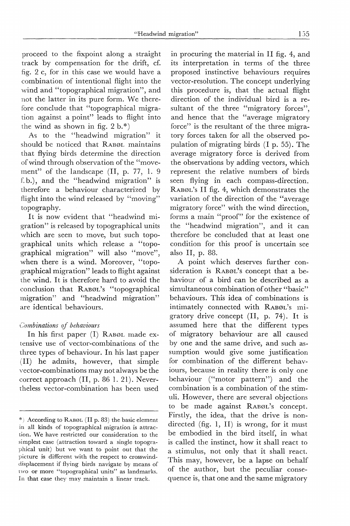proceed to the fixpoint along a straight track by compensation for the drift, cf. fig. 2 c, for in this case we would have a combination of intentional flight into the wind and "topographical migration", and not the latter in its pure form. We therefore conclude that "topographical migration against a point" leads to flight into the wind as shown in fig.  $2 b.*$ )

As to the "headwind migration" it should be noticed that RABØL maintains that flying birds determine the direction of wind through observation of the "movement" of the landscape (II, p. 77, 1. 9 f. b.), and the "headwind migration" is therefore a behaviour characterized by flight into the wind released by "moving" topography.

It is now evident that "headwind migration" is released by topographical units which are seen to move, but such topographical units which release a "topographical migration" will also "move", when there is a wind. Moreover, ''topographical migration" leads to flight against the wind. It is therefore hard to avoid the conclusion that RABØL's "topographical migration" and "headwind migration" are identical behaviours.

## *Combinations of behaviours*

In his first paper (I) RABØL made extensive use of vector-combinations of the three types of behaviour. In his last paper (II) he admits, however, that simple vector-combinations may not always be the correct approach (II, p. 86 1. 21). Nevertheless vector-combination has been used

in procuring the material in II fig. 4, and its interpretation in terms of the three proposed instinctive behaviours requires vector-resolution. The concept underlying this procedure is, that the actual flight direction of the individual bird is a resultant of the three "migratory forces", and hence that the "average migratory force" is the resultant of the three migratory forces taken for all the observed population of migrating birds (I p. 55). The average migratory force is derived from the observations by adding vectors, which represent the relative numbers of birds seen flying in each compass-direction. RABØL's II fig. 4, which demonstrates the variation of the direction of the "average migratory force" with the wind direction, forms a main "proof" for the existence of the "headwind migration", and it can therefore be concluded that at least one condition for this proof is uncertain see also II, p. 88.

A point which deserves further consideration is RABøL's concept that a behaviour of a bird can be described as a simultaneous combination of other "basic" behaviours. This idea of combinations is intimately connected with RABØL's migratory drive concept (II, p. 74). It is assumed here that the different types of migratory behaviour are all caused by one and the same drive, and such assumption would give some justification for combination of the different behaviours, because in reality there is only one behaviour ("motor pattern") and the combination is a combination of the stimuli. However, there are several objections to be made against RABØL's concept. Firstly, the idea, that the drive is nondirected (fig. 1, II) is wrong, for it must be embodied in the bird itself, in what is called the instinct, how it shall react to a stimulus, not only that it shall react. This may, however, be a lapse on behalf of the author, but the peculiar consequence is, that one and the same migratory

<sup>\*)</sup> According to RABØL (II p. 83) the basic element in all kinds of topographical migration is attraction. We have restricted our consideration to the simplest case (attraction toward a single topographical unit) but we want to point out that the picture is different with the respect to crosswinddisplacement if flying hirds navigate by means of <sup>t</sup>wo or more "topographical units" as landmarks. In that case they may maintain a linear track.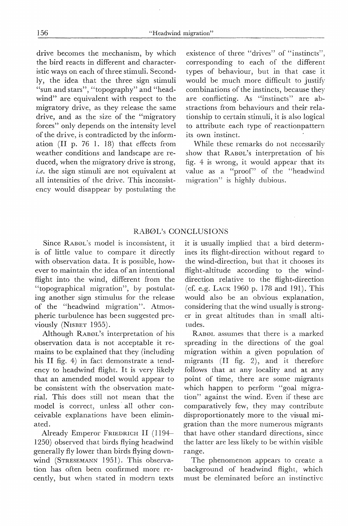drive becomes the mechanism, by which the bird reacts in different and characteristic ways on each of three stimuli. Secondly, the idea that the three sign stimuli "sun and stars", "topography" and "headwind" are equivalent with respect to the migratory drive, as they release the same drive, and as the size of the "migratory forces" only depends on the intensity level of the drive, is contradicted by the information (II p. 76 1. 18) that effects from weather conditions and landscape are reduced, when the migratory drive is strong, *i.e.* the sign stimuli are not equivalent at all intensities of the drive. This inconsistency would disappear by postulating the

existence of three "drives" of "instincts", corresponding to each of the different types of behaviour, but in that case it would be much more difficult to justify combinations of the instincts, because they are conflicting. As "instincts" are abstractions from behaviours and their relationship to certain stimuli, it is also logical to attribute each type of reactionpattern its own instinct.

While these remarks do not necessarily show that RABØL's interpretation of his fig. 4 is wrong, it would appear that its value as a "proof" of the "headwind migration" is highly dubious.

### RABØL's CONCLUSIONS

Since RABØL's model is inconsistent, it is of little value to compare it directly with observation data. It is possible, however to maintain the idea of an intentional flight into the wind, different from the "topographical migration", by postulating another sign stimulus for the release of the "headwind migration". Atmospheric turbulence has been suggested previously (NISBET 1955).

Although RABØL's interpretation of his observation data is not acceptable it remains to be explained that they (including his II fig. 4) in faet demonstrate a tendency to headwind flight. It is very likely that an amended model would appear to be consistent with the observation material. This does still not mean that the model is correct, unless all other conceivable explanations have been eliminated.

Already Emperor FRIEDRICH II (1194-1250) observed that birds flying headwind generally fly lower than birds flying downwind (STRESEMANN 1951). This observation has often been confirmed more recently, but when stated in modern texts it is usually implied that a bird determines its flight-direction without regard to the wind-direction, but that it chooses its flight-altitude according to the winddirection relative to the flight-direction (cf. e.g. LACK 1960 p. 178 and 191). This would also be an obvious explanation, considering that the wind usually is stronger in great altitudes than in small altitudes.

RABØL assumes that there is a marked spreading in the directions of the goal migration within a given population of migrants (II fig. 2), and it therefore follows that at any locality and at any point of time, there are some migrants which happen to perform "goal migration" against the wind. Even if these are comparatively few, they may contribute disproportionately more to the visual migration than the more numerous migrants that have other standard directions, since the latter are less likely to be within visible range.

The phenomenon appears to create a background of headwind flight, which must be eleminated before an instinctivc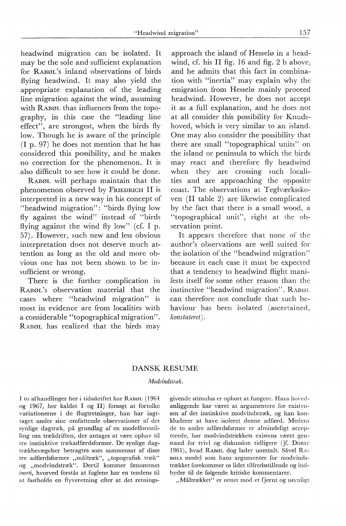"Headwind migration" 157

headwind migration can be isolated. It may be the sole and sufficient explanation for RABØL's inland observations of birds flying headwind. It may also yield the appropriate explanation of the leading line migration against the wind, assuming with RABØL that influences from the topography, in this case the "leading line effect", are strongest, when the birds fly low. Though he is aware of the principle (I p. 97) he does nqt mention that he has considered this possibility, and he makes no correction for the phenomenon. It is also difficult to see how it could be done.

RABØL will perhaps maintain that the phenomenon observed by FRIEDRICH II is interpreted in a new way in his concept of "headwind migration": "birds flying low fly against the wind" instead of "birds flying against the wind fly low" (cf. I p. 57). However, such new and less obvious interpretation does not deserve much attention as long as the old and more obvious one has not been shown to be insufficient or wrong.

There is the further complication in RABØL's observation material that the cases where "headwind migration" is most in evidence are from localities with a considerable "topographical migration". RABØL has realized that the birds may

approach the island of Hesselø in a headwind, cf. his II fig. 16 and fig. 2 b above, and he admits that this faet in combination with "inertia" may explain why the emigration from Hesselø mainly proceed headwind. However, he does not accept it as a full explanation, and he does not at all consider this possibility for Knudshoved, which is very similar to an island. One may also consider the possibility that there are small "topographical units'' on the island or peninsula to which the birds may react and therefore fly headwind when they are crossing such localities and are approaching the opposite coast. The observations at Teglværksskoven (II table 2) are likewise complicated by the faet that there is a small wood, a "topographical unit", right at the observation point.

It appears therefore that none of the author's observations are well suited for the isolation of the "headwind migration" because in each case it must be expected that a tendency to headwind flight manifests itself for some other reason than the instinctive "headwind migration". RABØL can therefore not conclude that such behaviour has been isolated (ascertained, *konstateret).* 

## DANSK RESUME

#### *1'1odvindstræk.*

I to afhandlinger her i tidsskriftet har RABØL ( 1964 og 1967, her kaldet I og II) forsøgt at fortolke variationerne i de flugtretninger, han har iagttaget under sine omfattende observationer af det synlige dagtræk, på grundlag af en modelforestilling om trækdriften, der antages at være ophav til tre instinktive trækadfærdsformer. De synlige dagtrækbevægelser betragtes som sammensat af disse tre adfærdsformer "måltræk", "topografisk træk" og "modvindstræk". Dertil kommer fænomenet *inerti,* hvorved forstås at fuglene har en tendens til at fastholde en flyveretning efter at det retningsgivende stimulus er ophørt at fungere. Hans hovedanliggende har været at argumentere for existensen af det instinktive modvindstræk, og han konkluderer at have isoleret denne adfærd. Medens de to andre adfærdsformer er almindeligt accepterede, har modvindstrækkets existens været genstand for tvivl og diskussion tidligere (jf. DoRsT 1961), hvad RABøL dog lader uomtalt. Såvel RA-BØLS model som hans argumenter for modvindstrækket forekommer os lidet tilfredsstillende og indbyder til de følgende kritiske kommentarer.

"Måltrækket" er rettet mod et fjernt og usynligt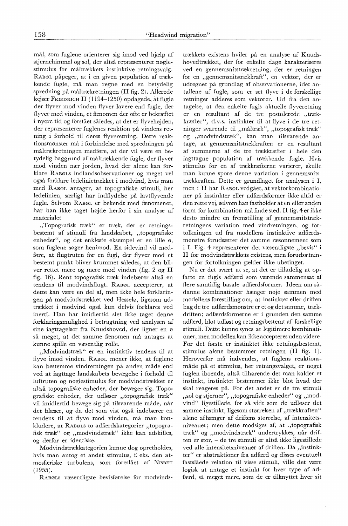mål, som fuglene orienterer sig imod ved hjælp af stjernehimmel og sol, der altså repræsenterer nøglestimulus for måltrækkets instinktive retningsvalg. RABØL påpeger, at i en given population af trækkende fugle, må man regne med en betydelig spredning på måltrækretningen (II fig. 2). Allerede kejser FRIEDRICH II (1194-1250) opdagede, at fugle der flyver mod vinden flyver lavere end fugle, der flyver med vinden, et fænomen der ofte er bekræftet i nyere tid og forstået således, at det er flyvehøjden, der repræsenterer fuglenes reaktion på vindens retning i forhold til deres flyveretning. Dette reaktionsmønster må i forbindelse med spredningen på måltrækretningen medføre, at der vil være en betydelig baggrund af måltrækkende fugle, der flyver mod vinden nær jorden, hvad der alene kan forklare RABØLS indlandsobservationer og meget vel også forklare ledelinietrækket i modvind, hvis man med RABØL antager, at topografiske stimuli, her ledelinien, særligt har indflydelse på lavtflyvende fugle. Selvom RABØL er bekendt med fænomenet, har han ikke taget højde herfor i sin analyse af materialet

"Topografisk træk" er træk, der er retningsbestemt af stimuli fra landskabet, "topografiske enheder", og det enkleste eksempel er en lille ø, som fuglene søger henimod. En sidevind vil medføre, at flugtruten for en fugl, der flyver mod et bestemt punkt bliver krummet således, at den bliver rettet mere og mere mod vinden (fig. 2 og II fig. 16). Rent topografisk træk indebærer altså en tendens til modvindsflugt. RABØL accepterer, at dette kan være en del af, men ikke hele forklaringen på modvindstrækket ved Hesselø, ligesom udtrækket i modvind også kun delvis forklares ved inerti. Han har imidlertid . slet ikke taget denne forklaringsmulighed i betragtning ved analysen af sine iagttagelser fra Knudshoved, der ligner en ø så meget, at det samme fænomen må antages at kunne spille en væsentlig rolle.

"Modvindstræk" er en instinktiv tendens til at flyve imod vinden. RABØL mener ikke, at fuglene kan bestemme vindretningen på anden måde end ved at iagttage landskabets bevægelse i forhold til luftruten og nøglestimulus for modvindstrækket er altså topografiske enheder, der bevæger sig. Topografiske enheder, der udløser "topografisk træk" vil imidlertid bevæge sig på tilsvarende måde, når det blæser, og da det som vist også indebærer en tendens til at flyve mod vinden, må man konkludere, at RABøLs to adfærdskategorier "topografisk træk" og "modvindstræk" ikke kan adskilles, og derfor er identiske.

Modvindstrækkategorien kunne dog opretholdes, hvis man antog et andet stimulus, f. eks. den atmosfæriske turbulens, som foreslået af N1sBET (1955).

RABØLS væsentligste bevisførelse for modvinds-

trækkets existens hviler på en analyse af Knudshovedtrækket, der for enkelte dage karakteriseres ved en gennemsnitstrækretning, der er retningen for en "gennemsnitstrækkraft", en vektor, der er udregnet på grundlag af observationerne, idet antallene af fugle, som er set flyve i de forskellige retninger adderes som vektorer. Ud fra den antagelse, at den enkelte fugls aktuelle flyveretning er en resultant af de tre postulerede "trækkræfter", d.v.s. instinkter til at flyve i de tre retninger svarende til "måltræk", "topografisk træk" og "modvindstræk", kan man tilsvarende antage, at gennemsnitstrækkraften er en resultant af summerne af de tre trækkræfter i hele den iagttagne population af trækkende fugle. Hvis stimulus for en af trækkræfterne varierer, skulle man kunne spore denne variation i gennemsnitstrækkraften. Dette er grundlaget for analysen i I, men i II har RABØL vedgået, at vektorkombinationer på instinkter eller adfærdsformer ikke altid er den rette vej, selvom han fastholder at en eller anden form for kombination må finde sted. II fig. 4 er ikke desto mindre en fremstilling af gennemsnitstrækretningens variation med vindretningen, og fortolkningen ud fra modellens instinktive adfærdsmønstre forudsætter det samme ræsonnement som i I. Fig. 4 repræsenterer det væsentligste "bevis" i II for modvindstrækkets existens, men forudsætningen for fortolkningen gælder ikke ubetinget.

Nu er det svært at se, at det er tilladelig at opfatte en fugls adfærd som værende sammensat af flere samtidig basale adfærdsformer. Ideen om sådanne kombinationer hænger nøje sammen med modellens forestilling om, at instinktet eller driften bag de tre adfærdsmønstre er et og det samme, trækdriften; adfærdsformerne er i grunden den samme adfærd, blot udløst og retningsbestemt af forskellige stimuli. Dette kunne synes at legitimere kombinationer, men modellen kan ikke accepteres uden videre. For det første er instinktet ikke retningsbestemt, stimulus alene bestemmer retningen (II fig. 1). Heroverfor må indvendes, at fuglens reaktionsmåde på et stimulus, her retningsvalget, er noget fuglen iboende, altså tilhørende det man kalder et instinkt, instinktet bestemmer ikke blot hvad der skal reageres på. For det andet er de tre stimuli "sol og stjerner", "topografiske enheder" og "modvind" ligestillede, for så vidt som de udløser det samme instinkt, ligesom størrelsen af "trækkraften" alene afhænger af driftens størrelse, af intensitetsniveauet; men dette modsiges af, at "topografisk træk" og "modvindstræk" undertrykkes, når driften er stor, - de tre stimuli er altså ikke ligestillede ved alle intensitetsniveauer af driften. Da "instinkter" er abstraktioner fra adfærd og disses eventuelt fastslåede relation til visse stimuli, ville det være logisk at antage et instinkt for hver type af adfærd, så meget mere, som de er tilknyttet hver sit